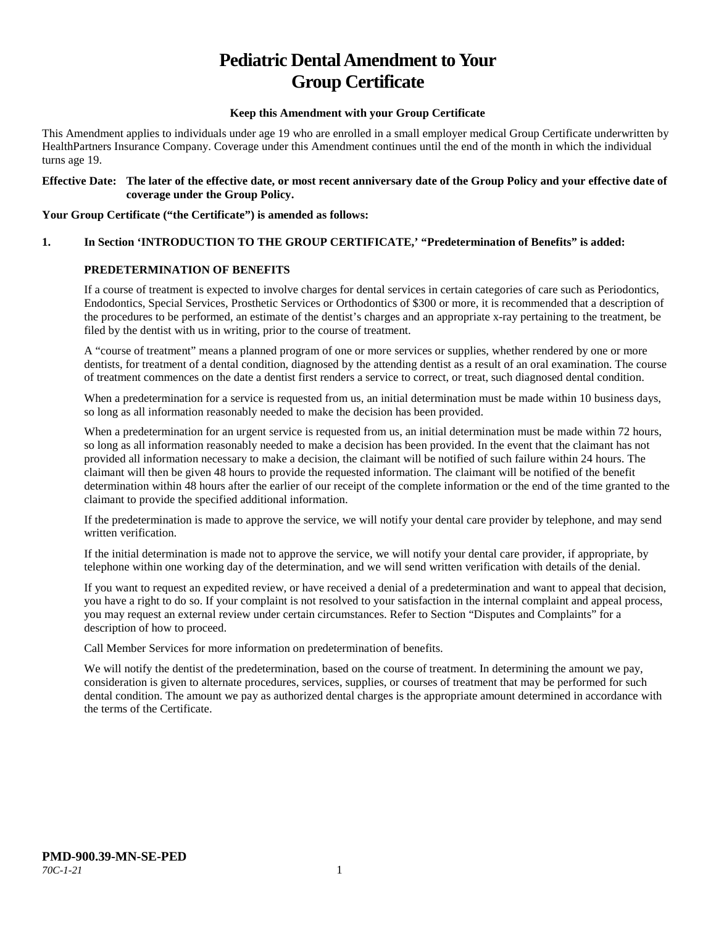# **Pediatric Dental Amendment to Your Group Certificate**

## **Keep this Amendment with your Group Certificate**

This Amendment applies to individuals under age 19 who are enrolled in a small employer medical Group Certificate underwritten by HealthPartners Insurance Company. Coverage under this Amendment continues until the end of the month in which the individual turns age 19.

#### **Effective Date: The later of the effective date, or most recent anniversary date of the Group Policy and your effective date of coverage under the Group Policy.**

#### **Your Group Certificate ("the Certificate") is amended as follows:**

# **1. In Section 'INTRODUCTION TO THE GROUP CERTIFICATE,' "Predetermination of Benefits" is added:**

# **PREDETERMINATION OF BENEFITS**

If a course of treatment is expected to involve charges for dental services in certain categories of care such as Periodontics, Endodontics, Special Services, Prosthetic Services or Orthodontics of \$300 or more, it is recommended that a description of the procedures to be performed, an estimate of the dentist's charges and an appropriate x-ray pertaining to the treatment, be filed by the dentist with us in writing, prior to the course of treatment.

A "course of treatment" means a planned program of one or more services or supplies, whether rendered by one or more dentists, for treatment of a dental condition, diagnosed by the attending dentist as a result of an oral examination. The course of treatment commences on the date a dentist first renders a service to correct, or treat, such diagnosed dental condition.

When a predetermination for a service is requested from us, an initial determination must be made within 10 business days, so long as all information reasonably needed to make the decision has been provided.

When a predetermination for an urgent service is requested from us, an initial determination must be made within 72 hours, so long as all information reasonably needed to make a decision has been provided. In the event that the claimant has not provided all information necessary to make a decision, the claimant will be notified of such failure within 24 hours. The claimant will then be given 48 hours to provide the requested information. The claimant will be notified of the benefit determination within 48 hours after the earlier of our receipt of the complete information or the end of the time granted to the claimant to provide the specified additional information.

If the predetermination is made to approve the service, we will notify your dental care provider by telephone, and may send written verification.

If the initial determination is made not to approve the service, we will notify your dental care provider, if appropriate, by telephone within one working day of the determination, and we will send written verification with details of the denial.

If you want to request an expedited review, or have received a denial of a predetermination and want to appeal that decision, you have a right to do so. If your complaint is not resolved to your satisfaction in the internal complaint and appeal process, you may request an external review under certain circumstances. Refer to Section "Disputes and Complaints" for a description of how to proceed.

Call Member Services for more information on predetermination of benefits.

We will notify the dentist of the predetermination, based on the course of treatment. In determining the amount we pay, consideration is given to alternate procedures, services, supplies, or courses of treatment that may be performed for such dental condition. The amount we pay as authorized dental charges is the appropriate amount determined in accordance with the terms of the Certificate.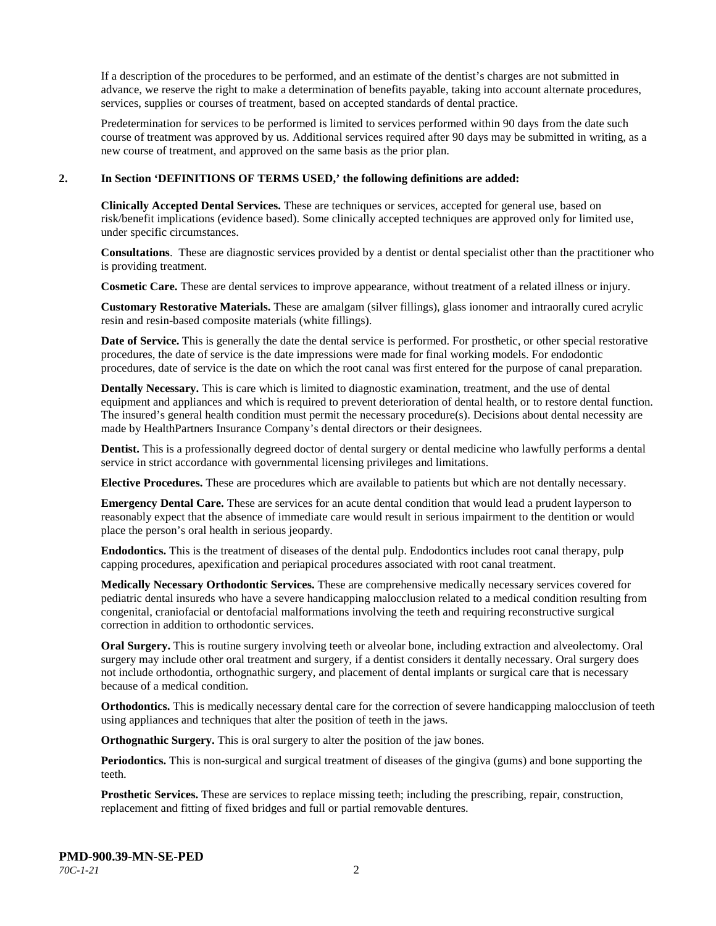If a description of the procedures to be performed, and an estimate of the dentist's charges are not submitted in advance, we reserve the right to make a determination of benefits payable, taking into account alternate procedures, services, supplies or courses of treatment, based on accepted standards of dental practice.

Predetermination for services to be performed is limited to services performed within 90 days from the date such course of treatment was approved by us. Additional services required after 90 days may be submitted in writing, as a new course of treatment, and approved on the same basis as the prior plan.

#### **2. In Section 'DEFINITIONS OF TERMS USED,' the following definitions are added:**

**Clinically Accepted Dental Services.** These are techniques or services, accepted for general use, based on risk/benefit implications (evidence based). Some clinically accepted techniques are approved only for limited use, under specific circumstances.

**Consultations**. These are diagnostic services provided by a dentist or dental specialist other than the practitioner who is providing treatment.

**Cosmetic Care.** These are dental services to improve appearance, without treatment of a related illness or injury.

**Customary Restorative Materials.** These are amalgam (silver fillings), glass ionomer and intraorally cured acrylic resin and resin-based composite materials (white fillings).

**Date of Service.** This is generally the date the dental service is performed. For prosthetic, or other special restorative procedures, the date of service is the date impressions were made for final working models. For endodontic procedures, date of service is the date on which the root canal was first entered for the purpose of canal preparation.

**Dentally Necessary.** This is care which is limited to diagnostic examination, treatment, and the use of dental equipment and appliances and which is required to prevent deterioration of dental health, or to restore dental function. The insured's general health condition must permit the necessary procedure(s). Decisions about dental necessity are made by HealthPartners Insurance Company's dental directors or their designees.

**Dentist.** This is a professionally degreed doctor of dental surgery or dental medicine who lawfully performs a dental service in strict accordance with governmental licensing privileges and limitations.

**Elective Procedures.** These are procedures which are available to patients but which are not dentally necessary.

**Emergency Dental Care.** These are services for an acute dental condition that would lead a prudent layperson to reasonably expect that the absence of immediate care would result in serious impairment to the dentition or would place the person's oral health in serious jeopardy.

**Endodontics.** This is the treatment of diseases of the dental pulp. Endodontics includes root canal therapy, pulp capping procedures, apexification and periapical procedures associated with root canal treatment.

**Medically Necessary Orthodontic Services.** These are comprehensive medically necessary services covered for pediatric dental insureds who have a severe handicapping malocclusion related to a medical condition resulting from congenital, craniofacial or dentofacial malformations involving the teeth and requiring reconstructive surgical correction in addition to orthodontic services.

**Oral Surgery.** This is routine surgery involving teeth or alveolar bone, including extraction and alveolectomy. Oral surgery may include other oral treatment and surgery, if a dentist considers it dentally necessary. Oral surgery does not include orthodontia, orthognathic surgery, and placement of dental implants or surgical care that is necessary because of a medical condition.

**Orthodontics.** This is medically necessary dental care for the correction of severe handicapping malocclusion of teeth using appliances and techniques that alter the position of teeth in the jaws.

**Orthognathic Surgery.** This is oral surgery to alter the position of the jaw bones.

**Periodontics.** This is non-surgical and surgical treatment of diseases of the gingiva (gums) and bone supporting the teeth.

**Prosthetic Services.** These are services to replace missing teeth; including the prescribing, repair, construction, replacement and fitting of fixed bridges and full or partial removable dentures.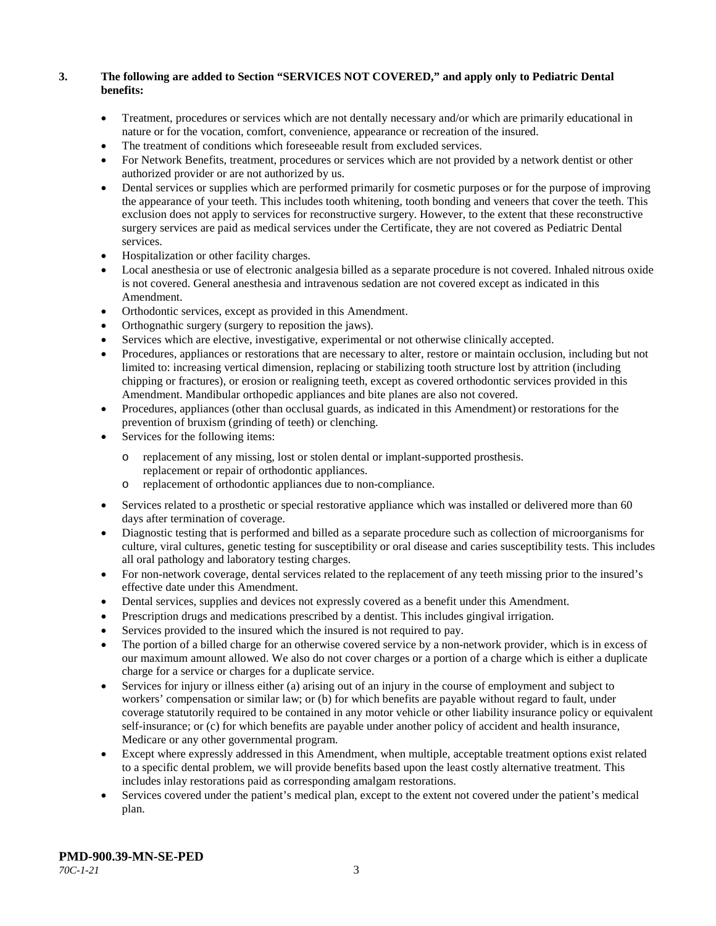# **3. The following are added to Section "SERVICES NOT COVERED," and apply only to Pediatric Dental benefits:**

- Treatment, procedures or services which are not dentally necessary and/or which are primarily educational in nature or for the vocation, comfort, convenience, appearance or recreation of the insured.
- The treatment of conditions which foreseeable result from excluded services.
- For Network Benefits, treatment, procedures or services which are not provided by a network dentist or other authorized provider or are not authorized by us.
- Dental services or supplies which are performed primarily for cosmetic purposes or for the purpose of improving the appearance of your teeth. This includes tooth whitening, tooth bonding and veneers that cover the teeth. This exclusion does not apply to services for reconstructive surgery. However, to the extent that these reconstructive surgery services are paid as medical services under the Certificate, they are not covered as Pediatric Dental services.
- Hospitalization or other facility charges.
- Local anesthesia or use of electronic analgesia billed as a separate procedure is not covered. Inhaled nitrous oxide is not covered. General anesthesia and intravenous sedation are not covered except as indicated in this Amendment.
- Orthodontic services, except as provided in this Amendment.
- Orthognathic surgery (surgery to reposition the jaws).
- Services which are elective, investigative, experimental or not otherwise clinically accepted.
- Procedures, appliances or restorations that are necessary to alter, restore or maintain occlusion, including but not limited to: increasing vertical dimension, replacing or stabilizing tooth structure lost by attrition (including chipping or fractures), or erosion or realigning teeth, except as covered orthodontic services provided in this Amendment. Mandibular orthopedic appliances and bite planes are also not covered.
- Procedures, appliances (other than occlusal guards, as indicated in this Amendment) or restorations for the prevention of bruxism (grinding of teeth) or clenching.
- Services for the following items:
	- o replacement of any missing, lost or stolen dental or implant-supported prosthesis. replacement or repair of orthodontic appliances.
	- o replacement of orthodontic appliances due to non-compliance.
- Services related to a prosthetic or special restorative appliance which was installed or delivered more than 60 days after termination of coverage.
- Diagnostic testing that is performed and billed as a separate procedure such as collection of microorganisms for culture, viral cultures, genetic testing for susceptibility or oral disease and caries susceptibility tests. This includes all oral pathology and laboratory testing charges.
- For non-network coverage, dental services related to the replacement of any teeth missing prior to the insured's effective date under this Amendment.
- Dental services, supplies and devices not expressly covered as a benefit under this Amendment.
- Prescription drugs and medications prescribed by a dentist. This includes gingival irrigation.
- Services provided to the insured which the insured is not required to pay.
- The portion of a billed charge for an otherwise covered service by a non-network provider, which is in excess of our maximum amount allowed. We also do not cover charges or a portion of a charge which is either a duplicate charge for a service or charges for a duplicate service.
- Services for injury or illness either (a) arising out of an injury in the course of employment and subject to workers' compensation or similar law; or (b) for which benefits are payable without regard to fault, under coverage statutorily required to be contained in any motor vehicle or other liability insurance policy or equivalent self-insurance; or (c) for which benefits are payable under another policy of accident and health insurance, Medicare or any other governmental program.
- Except where expressly addressed in this Amendment, when multiple, acceptable treatment options exist related to a specific dental problem, we will provide benefits based upon the least costly alternative treatment. This includes inlay restorations paid as corresponding amalgam restorations.
- Services covered under the patient's medical plan, except to the extent not covered under the patient's medical plan.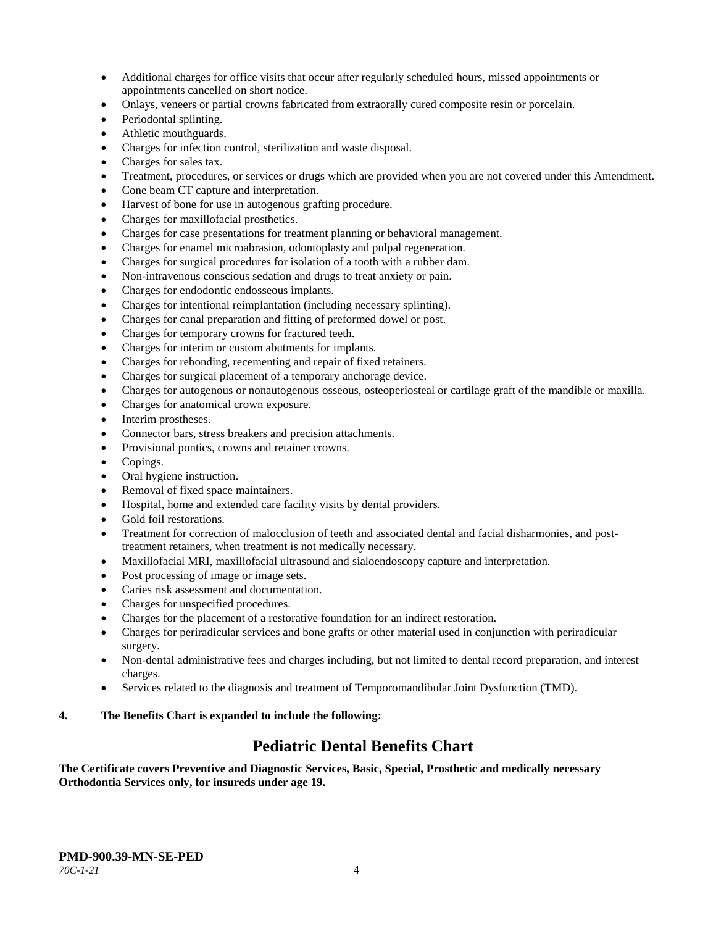- Additional charges for office visits that occur after regularly scheduled hours, missed appointments or appointments cancelled on short notice.
- Onlays, veneers or partial crowns fabricated from extraorally cured composite resin or porcelain.
- Periodontal splinting.
- Athletic mouthguards.
- Charges for infection control, sterilization and waste disposal.
- Charges for sales tax.
- Treatment, procedures, or services or drugs which are provided when you are not covered under this Amendment.
- Cone beam CT capture and interpretation.
- Harvest of bone for use in autogenous grafting procedure.
- Charges for maxillofacial prosthetics.
- Charges for case presentations for treatment planning or behavioral management.
- Charges for enamel microabrasion, odontoplasty and pulpal regeneration.
- Charges for surgical procedures for isolation of a tooth with a rubber dam.
- Non-intravenous conscious sedation and drugs to treat anxiety or pain.
- Charges for endodontic endosseous implants.
- Charges for intentional reimplantation (including necessary splinting).
- Charges for canal preparation and fitting of preformed dowel or post.
- Charges for temporary crowns for fractured teeth.
- Charges for interim or custom abutments for implants.
- Charges for rebonding, recementing and repair of fixed retainers.
- Charges for surgical placement of a temporary anchorage device.
- Charges for autogenous or nonautogenous osseous, osteoperiosteal or cartilage graft of the mandible or maxilla.
- Charges for anatomical crown exposure.
- Interim prostheses.
- Connector bars, stress breakers and precision attachments.
- Provisional pontics, crowns and retainer crowns.
- Copings.
- Oral hygiene instruction.
- Removal of fixed space maintainers.
- Hospital, home and extended care facility visits by dental providers.
- Gold foil restorations.
- Treatment for correction of malocclusion of teeth and associated dental and facial disharmonies, and posttreatment retainers, when treatment is not medically necessary.
- Maxillofacial MRI, maxillofacial ultrasound and sialoendoscopy capture and interpretation.
- Post processing of image or image sets.
- Caries risk assessment and documentation.
- Charges for unspecified procedures.
- Charges for the placement of a restorative foundation for an indirect restoration.
- Charges for periradicular services and bone grafts or other material used in conjunction with periradicular surgery.
- Non-dental administrative fees and charges including, but not limited to dental record preparation, and interest charges.
- Services related to the diagnosis and treatment of Temporomandibular Joint Dysfunction (TMD).

#### **4. The Benefits Chart is expanded to include the following:**

# **Pediatric Dental Benefits Chart**

**The Certificate covers Preventive and Diagnostic Services, Basic, Special, Prosthetic and medically necessary Orthodontia Services only, for insureds under age 19.**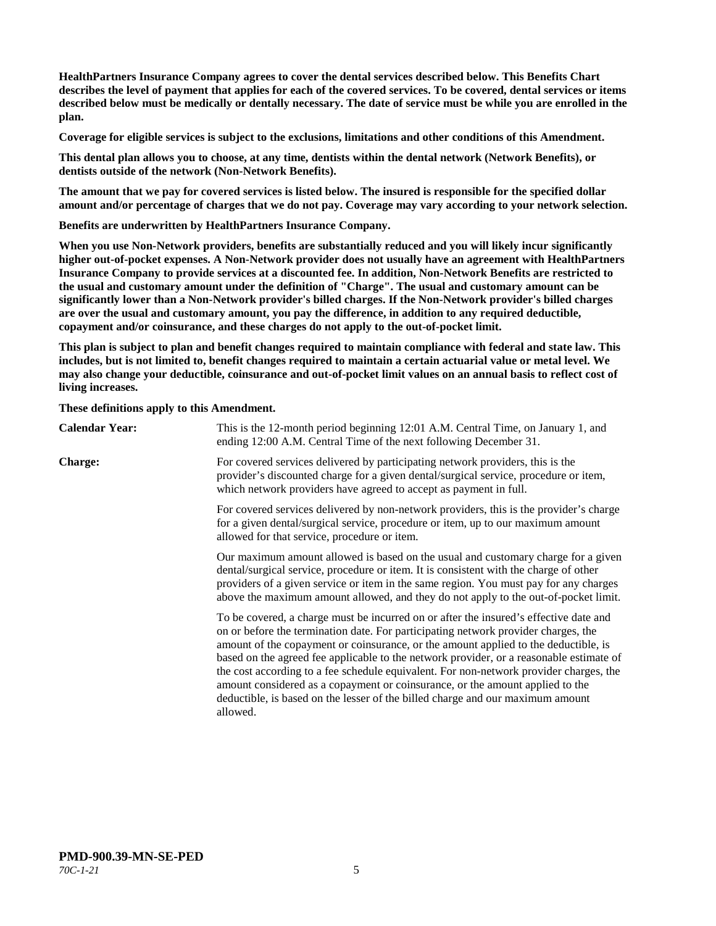**HealthPartners Insurance Company agrees to cover the dental services described below. This Benefits Chart describes the level of payment that applies for each of the covered services. To be covered, dental services or items described below must be medically or dentally necessary. The date of service must be while you are enrolled in the plan.**

**Coverage for eligible services is subject to the exclusions, limitations and other conditions of this Amendment.**

**This dental plan allows you to choose, at any time, dentists within the dental network (Network Benefits), or dentists outside of the network (Non-Network Benefits).**

**The amount that we pay for covered services is listed below. The insured is responsible for the specified dollar amount and/or percentage of charges that we do not pay. Coverage may vary according to your network selection.**

**Benefits are underwritten by HealthPartners Insurance Company.**

**When you use Non-Network providers, benefits are substantially reduced and you will likely incur significantly higher out-of-pocket expenses. A Non-Network provider does not usually have an agreement with HealthPartners Insurance Company to provide services at a discounted fee. In addition, Non-Network Benefits are restricted to the usual and customary amount under the definition of "Charge". The usual and customary amount can be significantly lower than a Non-Network provider's billed charges. If the Non-Network provider's billed charges are over the usual and customary amount, you pay the difference, in addition to any required deductible, copayment and/or coinsurance, and these charges do not apply to the out-of-pocket limit.**

**This plan is subject to plan and benefit changes required to maintain compliance with federal and state law. This includes, but is not limited to, benefit changes required to maintain a certain actuarial value or metal level. We may also change your deductible, coinsurance and out-of-pocket limit values on an annual basis to reflect cost of living increases.**

**These definitions apply to this Amendment.**

| <b>Calendar Year:</b>                                                                                                                                                                                                                                                                                                                                      | This is the 12-month period beginning 12:01 A.M. Central Time, on January 1, and<br>ending 12:00 A.M. Central Time of the next following December 31.                                                                                                                                                                                                                                                                                                                                                                                                                                                                                  |
|------------------------------------------------------------------------------------------------------------------------------------------------------------------------------------------------------------------------------------------------------------------------------------------------------------------------------------------------------------|----------------------------------------------------------------------------------------------------------------------------------------------------------------------------------------------------------------------------------------------------------------------------------------------------------------------------------------------------------------------------------------------------------------------------------------------------------------------------------------------------------------------------------------------------------------------------------------------------------------------------------------|
| <b>Charge:</b>                                                                                                                                                                                                                                                                                                                                             | For covered services delivered by participating network providers, this is the<br>provider's discounted charge for a given dental/surgical service, procedure or item,<br>which network providers have agreed to accept as payment in full.                                                                                                                                                                                                                                                                                                                                                                                            |
|                                                                                                                                                                                                                                                                                                                                                            | For covered services delivered by non-network providers, this is the provider's charge<br>for a given dental/surgical service, procedure or item, up to our maximum amount<br>allowed for that service, procedure or item.                                                                                                                                                                                                                                                                                                                                                                                                             |
| Our maximum amount allowed is based on the usual and customary charge for a given<br>dental/surgical service, procedure or item. It is consistent with the charge of other<br>providers of a given service or item in the same region. You must pay for any charges<br>above the maximum amount allowed, and they do not apply to the out-of-pocket limit. |                                                                                                                                                                                                                                                                                                                                                                                                                                                                                                                                                                                                                                        |
|                                                                                                                                                                                                                                                                                                                                                            | To be covered, a charge must be incurred on or after the insured's effective date and<br>on or before the termination date. For participating network provider charges, the<br>amount of the copayment or coinsurance, or the amount applied to the deductible, is<br>based on the agreed fee applicable to the network provider, or a reasonable estimate of<br>the cost according to a fee schedule equivalent. For non-network provider charges, the<br>amount considered as a copayment or coinsurance, or the amount applied to the<br>deductible, is based on the lesser of the billed charge and our maximum amount<br>allowed. |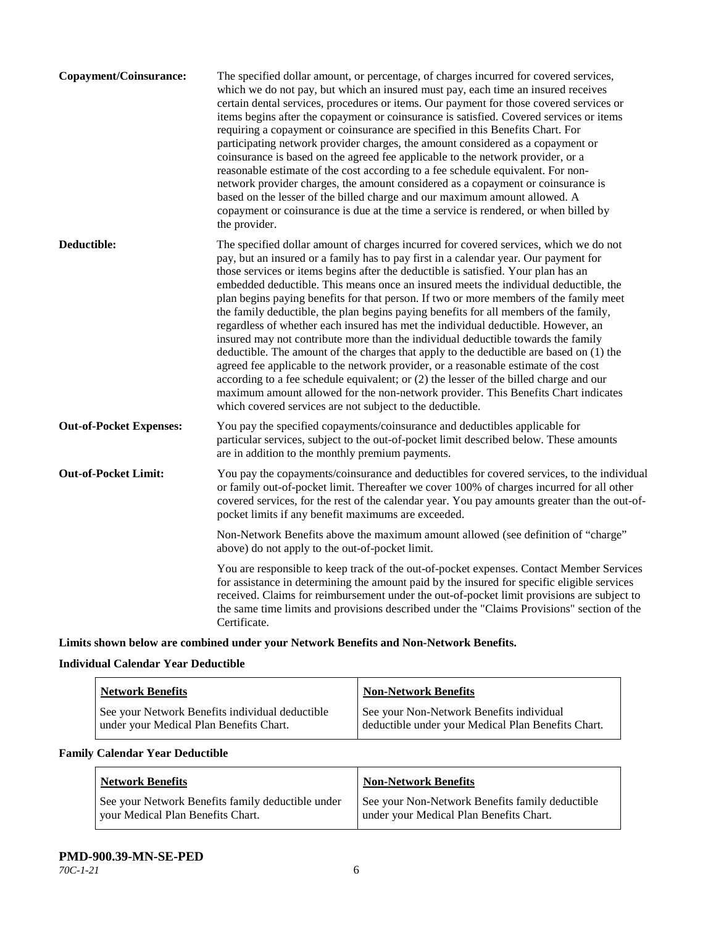| Copayment/Coinsurance:         | The specified dollar amount, or percentage, of charges incurred for covered services,<br>which we do not pay, but which an insured must pay, each time an insured receives<br>certain dental services, procedures or items. Our payment for those covered services or<br>items begins after the copayment or coinsurance is satisfied. Covered services or items<br>requiring a copayment or coinsurance are specified in this Benefits Chart. For<br>participating network provider charges, the amount considered as a copayment or<br>coinsurance is based on the agreed fee applicable to the network provider, or a<br>reasonable estimate of the cost according to a fee schedule equivalent. For non-<br>network provider charges, the amount considered as a copayment or coinsurance is<br>based on the lesser of the billed charge and our maximum amount allowed. A<br>copayment or coinsurance is due at the time a service is rendered, or when billed by<br>the provider.                                                                                                                                                                 |
|--------------------------------|---------------------------------------------------------------------------------------------------------------------------------------------------------------------------------------------------------------------------------------------------------------------------------------------------------------------------------------------------------------------------------------------------------------------------------------------------------------------------------------------------------------------------------------------------------------------------------------------------------------------------------------------------------------------------------------------------------------------------------------------------------------------------------------------------------------------------------------------------------------------------------------------------------------------------------------------------------------------------------------------------------------------------------------------------------------------------------------------------------------------------------------------------------|
| Deductible:                    | The specified dollar amount of charges incurred for covered services, which we do not<br>pay, but an insured or a family has to pay first in a calendar year. Our payment for<br>those services or items begins after the deductible is satisfied. Your plan has an<br>embedded deductible. This means once an insured meets the individual deductible, the<br>plan begins paying benefits for that person. If two or more members of the family meet<br>the family deductible, the plan begins paying benefits for all members of the family,<br>regardless of whether each insured has met the individual deductible. However, an<br>insured may not contribute more than the individual deductible towards the family<br>deductible. The amount of the charges that apply to the deductible are based on (1) the<br>agreed fee applicable to the network provider, or a reasonable estimate of the cost<br>according to a fee schedule equivalent; or (2) the lesser of the billed charge and our<br>maximum amount allowed for the non-network provider. This Benefits Chart indicates<br>which covered services are not subject to the deductible. |
| <b>Out-of-Pocket Expenses:</b> | You pay the specified copayments/coinsurance and deductibles applicable for<br>particular services, subject to the out-of-pocket limit described below. These amounts<br>are in addition to the monthly premium payments.                                                                                                                                                                                                                                                                                                                                                                                                                                                                                                                                                                                                                                                                                                                                                                                                                                                                                                                               |
| <b>Out-of-Pocket Limit:</b>    | You pay the copayments/coinsurance and deductibles for covered services, to the individual<br>or family out-of-pocket limit. Thereafter we cover 100% of charges incurred for all other<br>covered services, for the rest of the calendar year. You pay amounts greater than the out-of-<br>pocket limits if any benefit maximums are exceeded.                                                                                                                                                                                                                                                                                                                                                                                                                                                                                                                                                                                                                                                                                                                                                                                                         |
|                                | Non-Network Benefits above the maximum amount allowed (see definition of "charge"<br>above) do not apply to the out-of-pocket limit.                                                                                                                                                                                                                                                                                                                                                                                                                                                                                                                                                                                                                                                                                                                                                                                                                                                                                                                                                                                                                    |
|                                | You are responsible to keep track of the out-of-pocket expenses. Contact Member Services<br>for assistance in determining the amount paid by the insured for specific eligible services<br>received. Claims for reimbursement under the out-of-pocket limit provisions are subject to<br>the same time limits and provisions described under the "Claims Provisions" section of the<br>Certificate.                                                                                                                                                                                                                                                                                                                                                                                                                                                                                                                                                                                                                                                                                                                                                     |

**Limits shown below are combined under your Network Benefits and Non-Network Benefits.**

# **Individual Calendar Year Deductible**

| <b>Network Benefits</b>                         | <b>Non-Network Benefits</b>                        |
|-------------------------------------------------|----------------------------------------------------|
| See your Network Benefits individual deductible | See your Non-Network Benefits individual           |
| under your Medical Plan Benefits Chart.         | deductible under your Medical Plan Benefits Chart. |

# **Family Calendar Year Deductible**

| <b>Network Benefits</b>                           | <b>Non-Network Benefits</b>                     |
|---------------------------------------------------|-------------------------------------------------|
| See your Network Benefits family deductible under | See your Non-Network Benefits family deductible |
| vour Medical Plan Benefits Chart.                 | under your Medical Plan Benefits Chart.         |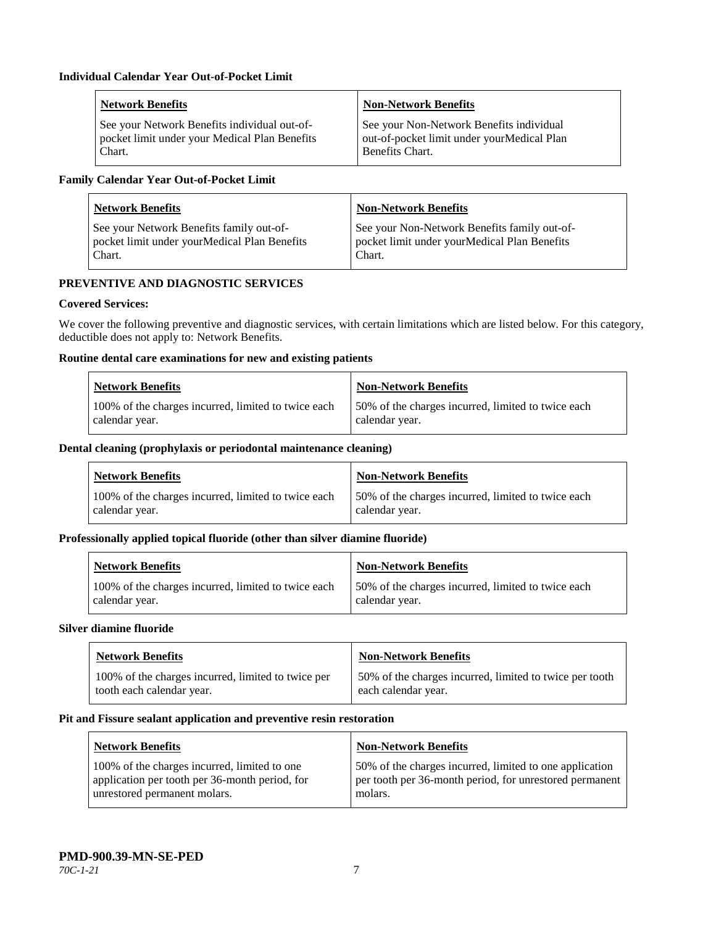| <b>Network Benefits</b>                       | <b>Non-Network Benefits</b>                |
|-----------------------------------------------|--------------------------------------------|
| See your Network Benefits individual out-of-  | See your Non-Network Benefits individual   |
| pocket limit under your Medical Plan Benefits | out-of-pocket limit under yourMedical Plan |
| Chart.                                        | <b>Benefits Chart.</b>                     |

# **Family Calendar Year Out-of-Pocket Limit**

| <b>Network Benefits</b>                      | <b>Non-Network Benefits</b>                  |
|----------------------------------------------|----------------------------------------------|
| See your Network Benefits family out-of-     | See your Non-Network Benefits family out-of- |
| pocket limit under yourMedical Plan Benefits | pocket limit under yourMedical Plan Benefits |
| Chart.                                       | Chart.                                       |

# **PREVENTIVE AND DIAGNOSTIC SERVICES**

# **Covered Services:**

We cover the following preventive and diagnostic services, with certain limitations which are listed below. For this category, deductible does not apply to: Network Benefits.

# **Routine dental care examinations for new and existing patients**

| <b>Network Benefits</b>                             | <b>Non-Network Benefits</b>                        |
|-----------------------------------------------------|----------------------------------------------------|
| 100% of the charges incurred, limited to twice each | 50% of the charges incurred, limited to twice each |
| calendar year.                                      | calendar year.                                     |

#### **Dental cleaning (prophylaxis or periodontal maintenance cleaning)**

| <b>Network Benefits</b>                             | <b>Non-Network Benefits</b>                         |
|-----------------------------------------------------|-----------------------------------------------------|
| 100% of the charges incurred, limited to twice each | 150% of the charges incurred, limited to twice each |
| calendar year.                                      | calendar year.                                      |

#### **Professionally applied topical fluoride (other than silver diamine fluoride)**

| <b>Network Benefits</b>                             | <b>Non-Network Benefits</b>                         |
|-----------------------------------------------------|-----------------------------------------------------|
| 100% of the charges incurred, limited to twice each | 150% of the charges incurred, limited to twice each |
| calendar year.                                      | calendar year.                                      |

#### **Silver diamine fluoride**

| <b>Network Benefits</b>                            | <b>Non-Network Benefits</b>                             |
|----------------------------------------------------|---------------------------------------------------------|
| 100% of the charges incurred, limited to twice per | 50% of the charges incurred, limited to twice per tooth |
| tooth each calendar year.                          | each calendar year.                                     |

#### **Pit and Fissure sealant application and preventive resin restoration**

| Network Benefits                               | <b>Non-Network Benefits</b>                             |
|------------------------------------------------|---------------------------------------------------------|
| 100% of the charges incurred, limited to one   | 50% of the charges incurred, limited to one application |
| application per tooth per 36-month period, for | per tooth per 36-month period, for unrestored permanent |
| unrestored permanent molars.                   | molars.                                                 |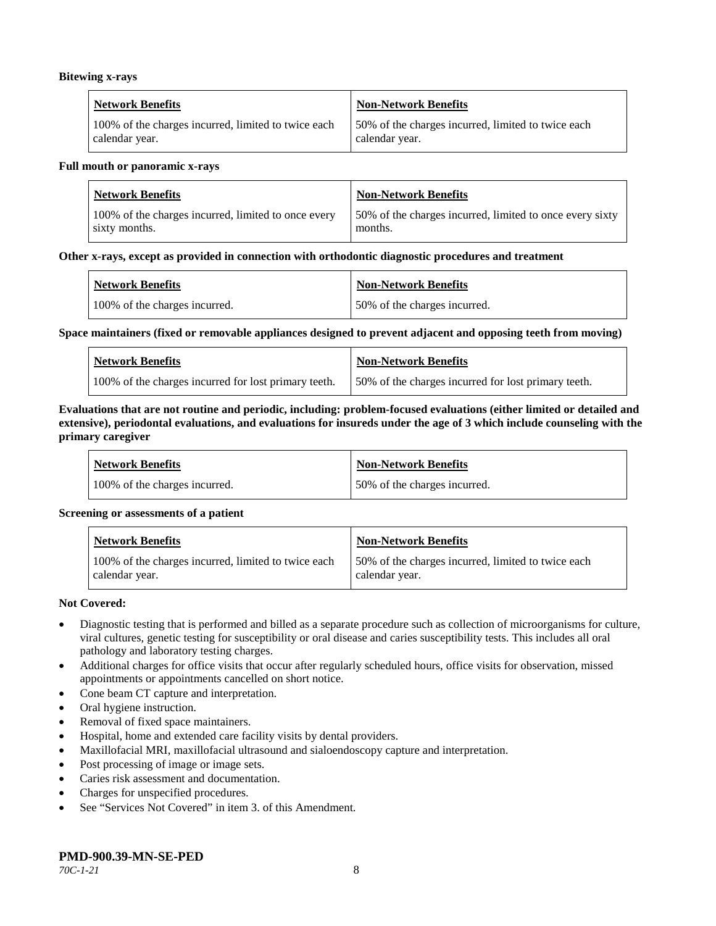#### **Bitewing x-rays**

| <b>Network Benefits</b>                             | Non-Network Benefits                               |
|-----------------------------------------------------|----------------------------------------------------|
| 100% of the charges incurred, limited to twice each | 50% of the charges incurred, limited to twice each |
| calendar year.                                      | calendar year.                                     |

#### **Full mouth or panoramic x-rays**

| <b>Network Benefits</b>                             | <b>Non-Network Benefits</b>                              |
|-----------------------------------------------------|----------------------------------------------------------|
| 100% of the charges incurred, limited to once every | 50% of the charges incurred, limited to once every sixty |
| sixty months.                                       | months.                                                  |

#### **Other x-rays, except as provided in connection with orthodontic diagnostic procedures and treatment**

| <b>Network Benefits</b>       | <b>Non-Network Benefits</b>  |
|-------------------------------|------------------------------|
| 100% of the charges incurred. | 50% of the charges incurred. |

#### **Space maintainers (fixed or removable appliances designed to prevent adjacent and opposing teeth from moving)**

| <b>Network Benefits</b>                              | Non-Network Benefits                                |
|------------------------------------------------------|-----------------------------------------------------|
| 100% of the charges incurred for lost primary teeth. | 50% of the charges incurred for lost primary teeth. |

#### **Evaluations that are not routine and periodic, including: problem-focused evaluations (either limited or detailed and extensive), periodontal evaluations, and evaluations for insureds under the age of 3 which include counseling with the primary caregiver**

| <b>Network Benefits</b>       | <b>Non-Network Benefits</b>  |
|-------------------------------|------------------------------|
| 100% of the charges incurred. | 50% of the charges incurred. |

#### **Screening or assessments of a patient**

| <b>Network Benefits</b>                                               | Non-Network Benefits                                                 |
|-----------------------------------------------------------------------|----------------------------------------------------------------------|
| 100% of the charges incurred, limited to twice each<br>calendar year. | 50% of the charges incurred, limited to twice each<br>calendar year. |

#### **Not Covered:**

- Diagnostic testing that is performed and billed as a separate procedure such as collection of microorganisms for culture, viral cultures, genetic testing for susceptibility or oral disease and caries susceptibility tests. This includes all oral pathology and laboratory testing charges.
- Additional charges for office visits that occur after regularly scheduled hours, office visits for observation, missed appointments or appointments cancelled on short notice.
- Cone beam CT capture and interpretation.
- Oral hygiene instruction.
- Removal of fixed space maintainers.
- Hospital, home and extended care facility visits by dental providers.
- Maxillofacial MRI, maxillofacial ultrasound and sialoendoscopy capture and interpretation.
- Post processing of image or image sets.
- Caries risk assessment and documentation.
- Charges for unspecified procedures.
- See "Services Not Covered" in item 3. of this Amendment.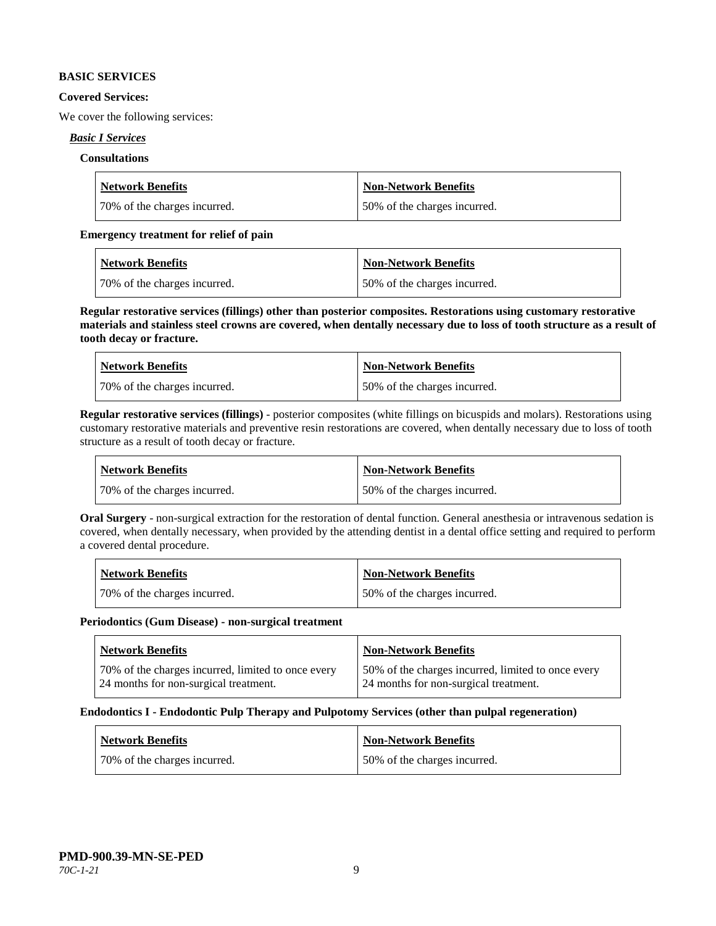### **BASIC SERVICES**

## **Covered Services:**

We cover the following services:

# *Basic I Services*

# **Consultations**

| <b>Network Benefits</b>      | Non-Network Benefits         |
|------------------------------|------------------------------|
| 70% of the charges incurred. | 50% of the charges incurred. |

# **Emergency treatment for relief of pain**

| <b>Network Benefits</b>      | Non-Network Benefits         |
|------------------------------|------------------------------|
| 70% of the charges incurred. | 50% of the charges incurred. |

**Regular restorative services (fillings) other than posterior composites. Restorations using customary restorative materials and stainless steel crowns are covered, when dentally necessary due to loss of tooth structure as a result of tooth decay or fracture.**

| <b>Network Benefits</b>       | <b>Non-Network Benefits</b>   |
|-------------------------------|-------------------------------|
| 170% of the charges incurred. | 150% of the charges incurred. |

**Regular restorative services (fillings)** - posterior composites (white fillings on bicuspids and molars). Restorations using customary restorative materials and preventive resin restorations are covered, when dentally necessary due to loss of tooth structure as a result of tooth decay or fracture.

| Network Benefits             | <b>Non-Network Benefits</b>  |
|------------------------------|------------------------------|
| 70% of the charges incurred. | 50% of the charges incurred. |

**Oral Surgery** - non-surgical extraction for the restoration of dental function. General anesthesia or intravenous sedation is covered, when dentally necessary, when provided by the attending dentist in a dental office setting and required to perform a covered dental procedure.

| Network Benefits             | <b>Non-Network Benefits</b>  |
|------------------------------|------------------------------|
| 70% of the charges incurred. | 50% of the charges incurred. |

#### **Periodontics (Gum Disease) - non-surgical treatment**

| <b>Network Benefits</b>                            | <b>Non-Network Benefits</b>                        |
|----------------------------------------------------|----------------------------------------------------|
| 70% of the charges incurred, limited to once every | 50% of the charges incurred, limited to once every |
| 24 months for non-surgical treatment.              | 24 months for non-surgical treatment.              |

#### **Endodontics I - Endodontic Pulp Therapy and Pulpotomy Services (other than pulpal regeneration)**

| <b>Network Benefits</b>      | <b>Non-Network Benefits</b>  |
|------------------------------|------------------------------|
| 70% of the charges incurred. | 50% of the charges incurred. |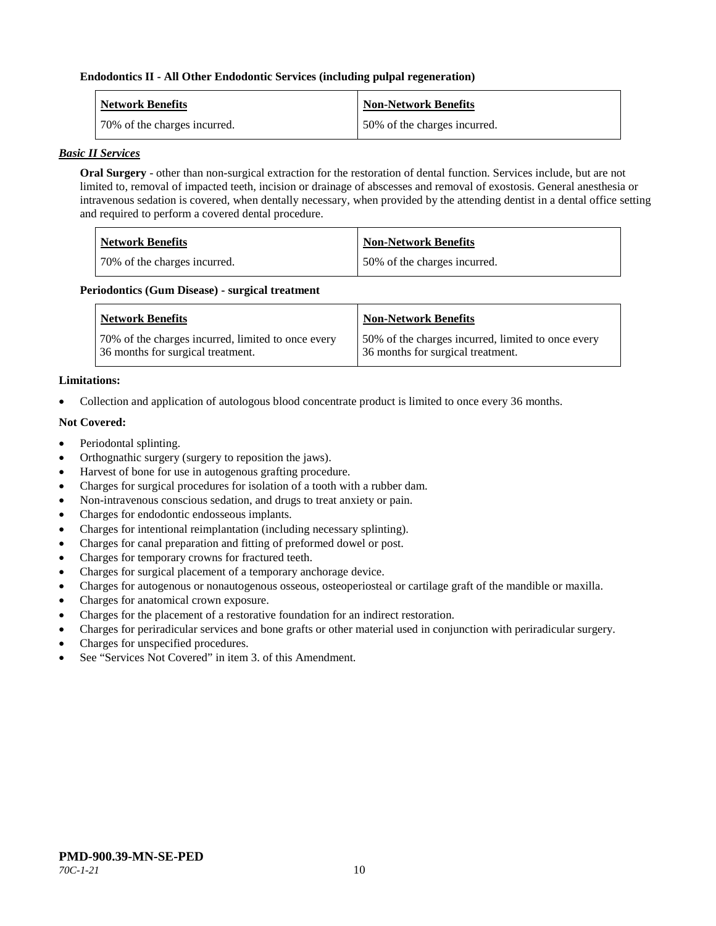## **Endodontics II - All Other Endodontic Services (including pulpal regeneration)**

| <b>Network Benefits</b>      | <b>Non-Network Benefits</b>  |
|------------------------------|------------------------------|
| 70% of the charges incurred. | 50% of the charges incurred. |

## *Basic II Services*

**Oral Surgery** - other than non-surgical extraction for the restoration of dental function. Services include, but are not limited to, removal of impacted teeth, incision or drainage of abscesses and removal of exostosis. General anesthesia or intravenous sedation is covered, when dentally necessary, when provided by the attending dentist in a dental office setting and required to perform a covered dental procedure.

| <b>Network Benefits</b>      | <b>Non-Network Benefits</b>  |
|------------------------------|------------------------------|
| 70% of the charges incurred. | 50% of the charges incurred. |

#### **Periodontics (Gum Disease) - surgical treatment**

| <b>Network Benefits</b>                            | <b>Non-Network Benefits</b>                        |
|----------------------------------------------------|----------------------------------------------------|
| 70% of the charges incurred, limited to once every | 50% of the charges incurred, limited to once every |
| 36 months for surgical treatment.                  | 36 months for surgical treatment.                  |

# **Limitations:**

• Collection and application of autologous blood concentrate product is limited to once every 36 months.

# **Not Covered:**

- Periodontal splinting.
- Orthognathic surgery (surgery to reposition the jaws).
- Harvest of bone for use in autogenous grafting procedure.
- Charges for surgical procedures for isolation of a tooth with a rubber dam.
- Non-intravenous conscious sedation, and drugs to treat anxiety or pain.
- Charges for endodontic endosseous implants.
- Charges for intentional reimplantation (including necessary splinting).
- Charges for canal preparation and fitting of preformed dowel or post.
- Charges for temporary crowns for fractured teeth.
- Charges for surgical placement of a temporary anchorage device.
- Charges for autogenous or nonautogenous osseous, osteoperiosteal or cartilage graft of the mandible or maxilla.
- Charges for anatomical crown exposure.
- Charges for the placement of a restorative foundation for an indirect restoration.
- Charges for periradicular services and bone grafts or other material used in conjunction with periradicular surgery.
- Charges for unspecified procedures.
- See "Services Not Covered" in item 3, of this Amendment.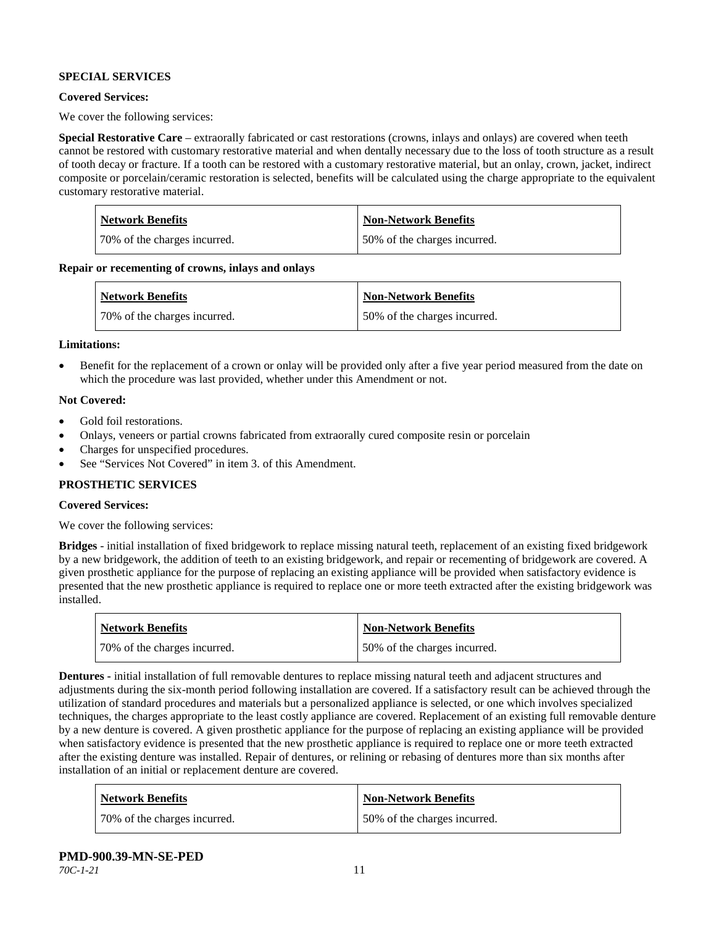# **SPECIAL SERVICES**

### **Covered Services:**

We cover the following services:

**Special Restorative Care** – extraorally fabricated or cast restorations (crowns, inlays and onlays) are covered when teeth cannot be restored with customary restorative material and when dentally necessary due to the loss of tooth structure as a result of tooth decay or fracture. If a tooth can be restored with a customary restorative material, but an onlay, crown, jacket, indirect composite or porcelain/ceramic restoration is selected, benefits will be calculated using the charge appropriate to the equivalent customary restorative material.

| Network Benefits             | <b>Non-Network Benefits</b>  |
|------------------------------|------------------------------|
| 70% of the charges incurred. | 50% of the charges incurred. |

**Repair or recementing of crowns, inlays and onlays**

| <b>Network Benefits</b>      | <b>Non-Network Benefits</b>  |
|------------------------------|------------------------------|
| 70% of the charges incurred. | 50% of the charges incurred. |

#### **Limitations:**

• Benefit for the replacement of a crown or onlay will be provided only after a five year period measured from the date on which the procedure was last provided, whether under this Amendment or not.

#### **Not Covered:**

- Gold foil restorations.
- Onlays, veneers or partial crowns fabricated from extraorally cured composite resin or porcelain
- Charges for unspecified procedures.
- See "Services Not Covered" in item 3. of this Amendment.

# **PROSTHETIC SERVICES**

#### **Covered Services:**

We cover the following services:

**Bridges** - initial installation of fixed bridgework to replace missing natural teeth, replacement of an existing fixed bridgework by a new bridgework, the addition of teeth to an existing bridgework, and repair or recementing of bridgework are covered. A given prosthetic appliance for the purpose of replacing an existing appliance will be provided when satisfactory evidence is presented that the new prosthetic appliance is required to replace one or more teeth extracted after the existing bridgework was installed.

| <b>Network Benefits</b>      | <b>Non-Network Benefits</b>  |
|------------------------------|------------------------------|
| 70% of the charges incurred. | 50% of the charges incurred. |

**Dentures -** initial installation of full removable dentures to replace missing natural teeth and adjacent structures and adjustments during the six-month period following installation are covered. If a satisfactory result can be achieved through the utilization of standard procedures and materials but a personalized appliance is selected, or one which involves specialized techniques, the charges appropriate to the least costly appliance are covered. Replacement of an existing full removable denture by a new denture is covered. A given prosthetic appliance for the purpose of replacing an existing appliance will be provided when satisfactory evidence is presented that the new prosthetic appliance is required to replace one or more teeth extracted after the existing denture was installed. Repair of dentures, or relining or rebasing of dentures more than six months after installation of an initial or replacement denture are covered.

| <b>Network Benefits</b>      | <b>Non-Network Benefits</b>  |
|------------------------------|------------------------------|
| 70% of the charges incurred. | 50% of the charges incurred. |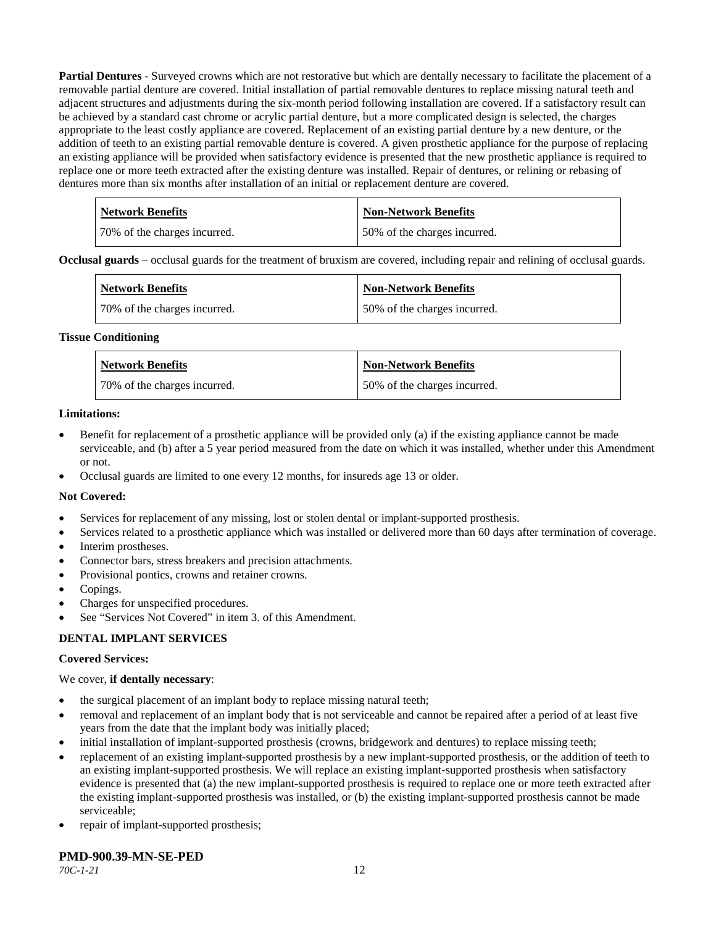**Partial Dentures** - Surveyed crowns which are not restorative but which are dentally necessary to facilitate the placement of a removable partial denture are covered. Initial installation of partial removable dentures to replace missing natural teeth and adjacent structures and adjustments during the six-month period following installation are covered. If a satisfactory result can be achieved by a standard cast chrome or acrylic partial denture, but a more complicated design is selected, the charges appropriate to the least costly appliance are covered. Replacement of an existing partial denture by a new denture, or the addition of teeth to an existing partial removable denture is covered. A given prosthetic appliance for the purpose of replacing an existing appliance will be provided when satisfactory evidence is presented that the new prosthetic appliance is required to replace one or more teeth extracted after the existing denture was installed. Repair of dentures, or relining or rebasing of dentures more than six months after installation of an initial or replacement denture are covered.

| <b>Network Benefits</b>      | <b>Non-Network Benefits</b>  |
|------------------------------|------------------------------|
| 70% of the charges incurred. | 50% of the charges incurred. |

**Occlusal guards** – occlusal guards for the treatment of bruxism are covered, including repair and relining of occlusal guards.

| <b>Network Benefits</b>      | <b>Non-Network Benefits</b>  |
|------------------------------|------------------------------|
| 70% of the charges incurred. | 50% of the charges incurred. |

#### **Tissue Conditioning**

| <b>Network Benefits</b>      | Non-Network Benefits         |
|------------------------------|------------------------------|
| 70% of the charges incurred. | 50% of the charges incurred. |

#### **Limitations:**

- Benefit for replacement of a prosthetic appliance will be provided only (a) if the existing appliance cannot be made serviceable, and (b) after a 5 year period measured from the date on which it was installed, whether under this Amendment or not.
- Occlusal guards are limited to one every 12 months, for insureds age 13 or older.

#### **Not Covered:**

- Services for replacement of any missing, lost or stolen dental or implant-supported prosthesis.
- Services related to a prosthetic appliance which was installed or delivered more than 60 days after termination of coverage.
- Interim prostheses.
- Connector bars, stress breakers and precision attachments.
- Provisional pontics, crowns and retainer crowns.
- Copings.
- Charges for unspecified procedures.
- See "Services Not Covered" in item 3. of this Amendment.

#### **DENTAL IMPLANT SERVICES**

#### **Covered Services:**

#### We cover, **if dentally necessary**:

- the surgical placement of an implant body to replace missing natural teeth;
- removal and replacement of an implant body that is not serviceable and cannot be repaired after a period of at least five years from the date that the implant body was initially placed;
- initial installation of implant-supported prosthesis (crowns, bridgework and dentures) to replace missing teeth;
- replacement of an existing implant-supported prosthesis by a new implant-supported prosthesis, or the addition of teeth to an existing implant-supported prosthesis. We will replace an existing implant-supported prosthesis when satisfactory evidence is presented that (a) the new implant-supported prosthesis is required to replace one or more teeth extracted after the existing implant-supported prosthesis was installed, or (b) the existing implant-supported prosthesis cannot be made serviceable;
- repair of implant-supported prosthesis;

#### **PMD-900.39-MN-SE-PED**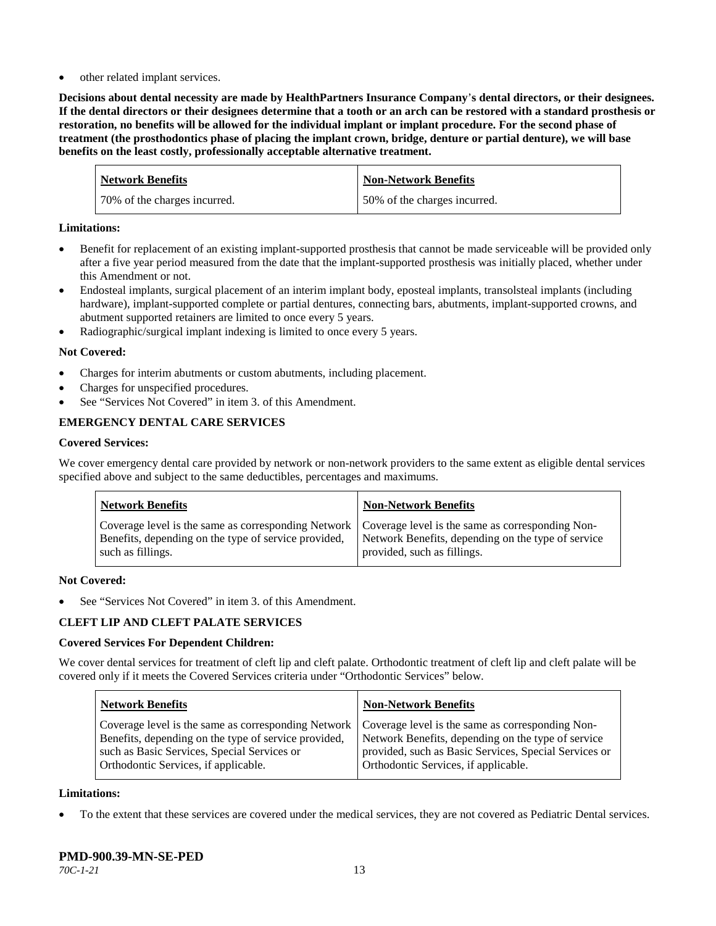other related implant services.

**Decisions about dental necessity are made by HealthPartners Insurance Company**'**s dental directors, or their designees. If the dental directors or their designees determine that a tooth or an arch can be restored with a standard prosthesis or restoration, no benefits will be allowed for the individual implant or implant procedure. For the second phase of treatment (the prosthodontics phase of placing the implant crown, bridge, denture or partial denture), we will base benefits on the least costly, professionally acceptable alternative treatment.**

| <b>Network Benefits</b>      | Non-Network Benefits         |
|------------------------------|------------------------------|
| 70% of the charges incurred. | 50% of the charges incurred. |

## **Limitations:**

- Benefit for replacement of an existing implant-supported prosthesis that cannot be made serviceable will be provided only after a five year period measured from the date that the implant-supported prosthesis was initially placed, whether under this Amendment or not.
- Endosteal implants, surgical placement of an interim implant body, eposteal implants, transolsteal implants (including hardware), implant-supported complete or partial dentures, connecting bars, abutments, implant-supported crowns, and abutment supported retainers are limited to once every 5 years.
- Radiographic/surgical implant indexing is limited to once every 5 years.

# **Not Covered:**

- Charges for interim abutments or custom abutments, including placement.
- Charges for unspecified procedures.
- See "Services Not Covered" in item 3. of this Amendment.

# **EMERGENCY DENTAL CARE SERVICES**

#### **Covered Services:**

We cover emergency dental care provided by network or non-network providers to the same extent as eligible dental services specified above and subject to the same deductibles, percentages and maximums.

| <b>Network Benefits</b>                                                                                                                                                             | <b>Non-Network Benefits</b>                                                       |
|-------------------------------------------------------------------------------------------------------------------------------------------------------------------------------------|-----------------------------------------------------------------------------------|
| Coverage level is the same as corresponding Network   Coverage level is the same as corresponding Non-<br>Benefits, depending on the type of service provided,<br>such as fillings. | Network Benefits, depending on the type of service<br>provided, such as fillings. |

#### **Not Covered:**

See "Services Not Covered" in item 3. of this Amendment.

#### **CLEFT LIP AND CLEFT PALATE SERVICES**

#### **Covered Services For Dependent Children:**

We cover dental services for treatment of cleft lip and cleft palate. Orthodontic treatment of cleft lip and cleft palate will be covered only if it meets the Covered Services criteria under "Orthodontic Services" below.

| <b>Network Benefits</b>                              | <b>Non-Network Benefits</b>                           |
|------------------------------------------------------|-------------------------------------------------------|
| Coverage level is the same as corresponding Network  | Coverage level is the same as corresponding Non-      |
| Benefits, depending on the type of service provided, | Network Benefits, depending on the type of service    |
| such as Basic Services, Special Services or          | provided, such as Basic Services, Special Services or |
| Orthodontic Services, if applicable.                 | Orthodontic Services, if applicable.                  |

#### **Limitations:**

• To the extent that these services are covered under the medical services, they are not covered as Pediatric Dental services.